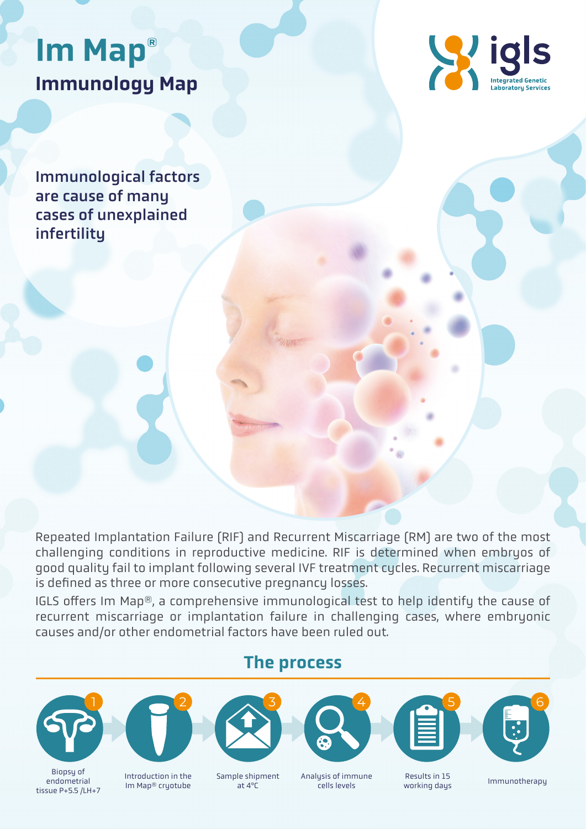# Immunology Map Im Map®



Immunological factors are cause of many cases of unexplained infertility

Repeated Implantation Failure (RIF) and Recurrent Miscarriage (RM) are two of the most challenging conditions in reproductive medicine. RIF is determined when embryos of good quality fail to implant following several IVF treatment cycles. Recurrent miscarriage is defined as three or more consecutive pregnancy losses.

IGLS offers Im Map®, a comprehensive immunological test to help identify the cause of recurrent miscarriage or implantation failure in challenging cases, where embryonic causes and/or other endometrial factors have been ruled out.







Introduction in the Im Map® cryotube

 $1 \t 2 \t 3 \t 4 \t 5 \t 6$ 

#### Sample shipment<br>at 4°C

cells levels

at 4ºC Immunotherapy Analysis of immune

Results in 15 working days

#### The process